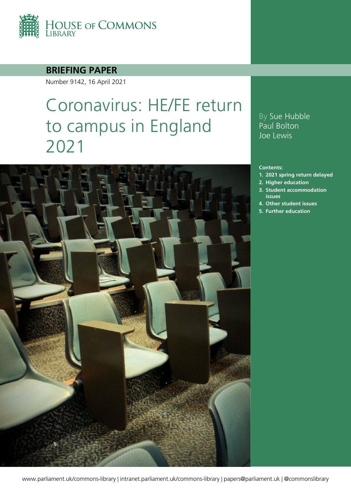

### **BRIEFING PAPER**

Number 9142, 16 April 2021

# Coronavirus: HE/FE return to campus in England 2021



### By Sue Hubble Paul Bolton Joe Lewis

#### **Contents:**

- **1. [2021 spring return delayed](#page-3-0)**
- **2. [Higher education](#page-6-0)**
- **3. [Student accommodation](#page-9-0)  [issues](#page-9-0)**
- **4. [Other student issues](#page-14-0)**
- **5. [Further education](#page-16-0)**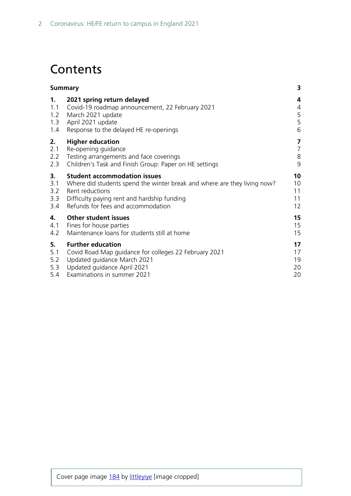# **Contents**

|     | <b>Summary</b>                                                           |                         |
|-----|--------------------------------------------------------------------------|-------------------------|
| 1.  | 2021 spring return delayed                                               | 4                       |
| 1.1 | Covid-19 roadmap announcement, 22 February 2021                          | 4                       |
| 1.2 | March 2021 update                                                        | 5                       |
| 1.3 | April 2021 update                                                        | 5                       |
| 1.4 | Response to the delayed HE re-openings                                   | 6                       |
| 2.  | <b>Higher education</b>                                                  | $\overline{\mathbf{z}}$ |
| 2.1 | Re-opening guidance                                                      | $\overline{7}$          |
| 2.2 | Testing arrangements and face coverings                                  | $\,8\,$                 |
| 2.3 | Children's Task and Finish Group: Paper on HE settings                   | 9                       |
| 3.  | <b>Student accommodation issues</b>                                      | 10                      |
| 3.1 | Where did students spend the winter break and where are they living now? | 10                      |
| 3.2 | Rent reductions                                                          | 11                      |
| 3.3 | Difficulty paying rent and hardship funding                              | 11                      |
| 3.4 | Refunds for fees and accommodation                                       | 12                      |
| 4.  | <b>Other student issues</b>                                              | 15                      |
| 4.1 | Fines for house parties                                                  | 15                      |
| 4.2 | Maintenance loans for students still at home                             | 15                      |
| 5.  | <b>Further education</b>                                                 | 17                      |
| 5.1 | Covid Road Map guidance for colleges 22 February 2021                    | 17                      |
| 5.2 | Updated guidance March 2021                                              | 19                      |
| 5.3 | Updated guidance April 2021                                              | 20                      |
| 5.4 | Examinations in summer 2021                                              | 20                      |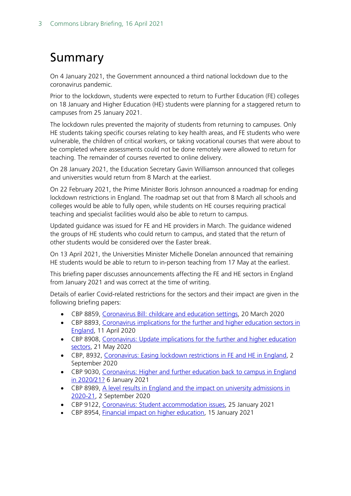# <span id="page-2-0"></span>Summary

On 4 January 2021, the Government announced a third national lockdown due to the coronavirus pandemic.

Prior to the lockdown, students were expected to return to Further Education (FE) colleges on 18 January and Higher Education (HE) students were planning for a staggered return to campuses from 25 January 2021.

The lockdown rules prevented the majority of students from returning to campuses. Only HE students taking specific courses relating to key health areas, and FE students who were vulnerable, the children of critical workers, or taking vocational courses that were about to be completed where assessments could not be done remotely were allowed to return for teaching. The remainder of courses reverted to online delivery.

On 28 January 2021, the Education Secretary Gavin Williamson announced that colleges and universities would return from 8 March at the earliest.

On 22 February 2021, the Prime Minister Boris Johnson announced a roadmap for ending lockdown restrictions in England. The roadmap set out that from 8 March all schools and colleges would be able to fully open, while students on HE courses requiring practical teaching and specialist facilities would also be able to return to campus.

Updated guidance was issued for FE and HE providers in March. The guidance widened the groups of HE students who could return to campus, and stated that the return of other students would be considered over the Easter break.

On 13 April 2021, the Universities Minister Michelle Donelan announced that remaining HE students would be able to return to in-person teaching from 17 May at the earliest.

This briefing paper discusses announcements affecting the FE and HE sectors in England from January 2021 and was correct at the time of writing.

Details of earlier Covid-related restrictions for the sectors and their impact are given in the following briefing papers:

- CBP 8859, [Coronavirus Bill: childcare and education settings,](https://researchbriefings.files.parliament.uk/documents/CBP-8859/CBP-8859.pdf) 20 March 2020
- CBP 8893, [Coronavirus implications for the further and higher education sectors in](http://researchbriefingsapp.parliament.uk/resourcefile/get/26a4f7d5-ec2d-46ce-a0fd-7324ce99e0c5/cbp08893.pdf)  [England,](http://researchbriefingsapp.parliament.uk/resourcefile/get/26a4f7d5-ec2d-46ce-a0fd-7324ce99e0c5/cbp08893.pdf) 11 April 2020
- CBP 8908, [Coronavirus: Update implications for the further and higher education](http://researchbriefingsapp.parliament.uk/resourcefile/get/e42ceaa1-07af-49a6-817f-3c814a7d4c7c/cbp08908.pdf)  [sectors,](http://researchbriefingsapp.parliament.uk/resourcefile/get/e42ceaa1-07af-49a6-817f-3c814a7d4c7c/cbp08908.pdf) 21 May 2020
- CBP, 8932, [Coronavirus: Easing lockdown restrictions in FE and HE in England,](http://researchbriefingsapp.parliament.uk/resourcefile/get/f3ad3896-ade4-46e2-bdb4-356144843ca3/cbp08932.pdf) 2 September 2020
- CBP 9030, [Coronavirus: Higher and further education back to campus in England](http://researchbriefingsapp.parliament.uk/resourcefile/get/cdfe96cc-8cae-4bba-a76c-8eae9d3cec56/cbp09030.pdf)  [in 2020/21?](http://researchbriefingsapp.parliament.uk/resourcefile/get/cdfe96cc-8cae-4bba-a76c-8eae9d3cec56/cbp09030.pdf) 6 January 2021
- CBP 8989, [A level results in England and the impact on university admissions in](http://researchbriefingsapp.parliament.uk/resourcefile/get/c6d50691-4ac2-4e9c-9739-b8802b040ba6/cbp08989.pdf)  [2020-21,](http://researchbriefingsapp.parliament.uk/resourcefile/get/c6d50691-4ac2-4e9c-9739-b8802b040ba6/cbp08989.pdf) 2 September 2020
- CBP 9122, [Coronavirus: Student accommodation issues,](http://researchbriefingsapp.parliament.uk/resourcefile/get/c6378fde-64d2-450c-97c1-b8afc409d4b2/cbp09122.pdf) 25 January 2021
- CBP 8954, [Financial impact on higher education,](http://researchbriefingsapp.parliament.uk/resourcefile/get/7412c5b9-941d-4419-9f22-78cbba57309c/cbp08954.pdf) 15 January 2021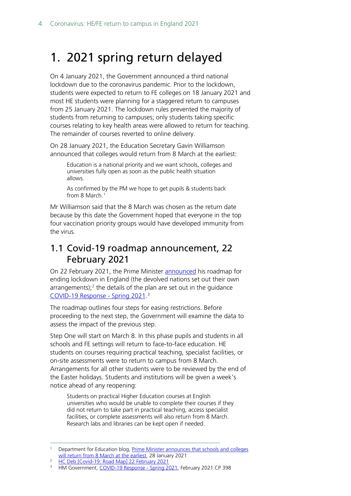# <span id="page-3-0"></span>1. 2021 spring return delayed

On 4 January 2021, the Government announced a third national lockdown due to the coronavirus pandemic. Prior to the lockdown, students were expected to return to FE colleges on 18 January 2021 and most HE students were planning for a staggered return to campuses from 25 January 2021. The lockdown rules prevented the majority of students from returning to campuses; only students taking specific courses relating to key health areas were allowed to return for teaching. The remainder of courses reverted to online delivery.

On 28 January 2021, the Education Secretary Gavin Williamson announced that colleges would return from 8 March at the earliest:

Education is a national priority and we want schools, colleges and universities fully open as soon as the public health situation allows.

As confirmed by the PM we hope to get pupils & students back from 8 March.<sup>[1](#page-3-2)</sup>

Mr Williamson said that the 8 March was chosen as the return date because by this date the Government hoped that everyone in the top four vaccination priority groups would have developed immunity from the virus.

## <span id="page-3-1"></span>1.1 Covid-19 roadmap announcement, 22 February 2021

On 22 February 2021, the Prime Minister [announced](https://hansard.parliament.uk/commons/2021-02-22/debates/7F26D493-AF6A-46A4-A1C3-61A39DD527CE/Covid-19RoadMap) his roadmap for ending lockdown in England (the devolved nations set out their own arrangements);<sup>[2](#page-3-3)</sup> the details of the plan are set out in the guidance [COVID-19 Response -](https://www.gov.uk/government/publications/covid-19-response-spring-2021/covid-19-response-spring-2021-summary) Spring 2021. [3](#page-3-4)

The roadmap outlines four steps for easing restrictions. Before proceeding to the next step, the Government will examine the data to assess the impact of the previous step.

Step One will start on March 8. In this phase pupils and students in all schools and FE settings will return to face-to-face education. HE students on courses requiring practical teaching, specialist facilities, or on-site assessments were to return to campus from 8 March. Arrangements for all other students were to be reviewed by the end of the Easter holidays. Students and institutions will be given a week's notice ahead of any reopening:

Students on practical Higher Education courses at English universities who would be unable to complete their courses if they did not return to take part in practical teaching, access specialist facilities, or complete assessments will also return from 8 March. Research labs and libraries can be kept open if needed.

<span id="page-3-2"></span><sup>1</sup> Department for Education blog, [Prime Minister announces that schools and colleges](https://dfemedia.blog.gov.uk/2021/01/28/prime-minister-announces-that-schools-and-colleges-will-return-from-8-march-at-the-earliest/)  [will return from 8 March at the earliest,](https://dfemedia.blog.gov.uk/2021/01/28/prime-minister-announces-that-schools-and-colleges-will-return-from-8-march-at-the-earliest/) 28 January 2021

<span id="page-3-4"></span><span id="page-3-3"></span><sup>&</sup>lt;sup>2</sup> [HC Deb \[Covid-19: Road Map\] 22 February 2021](https://hansard.parliament.uk/commons/2021-02-22/debates/7F26D493-AF6A-46A4-A1C3-61A39DD527CE/Covid-19RoadMap)

<sup>&</sup>lt;sup>3</sup> HM Government, [COVID-19 Response -](https://assets.publishing.service.gov.uk/government/uploads/system/uploads/attachment_data/file/963491/COVID-19_Response_-_Spring_2021.pdf) Spring 2021, February 2021 CP 398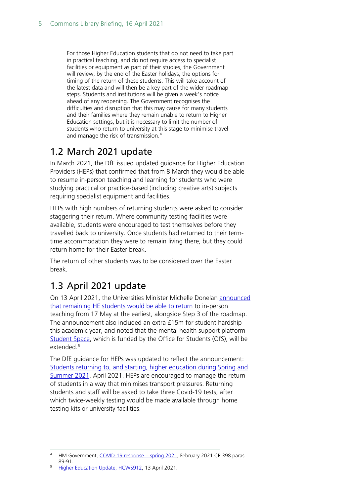For those Higher Education students that do not need to take part in practical teaching, and do not require access to specialist facilities or equipment as part of their studies, the Government will review, by the end of the Easter holidays, the options for timing of the return of these students. This will take account of the latest data and will then be a key part of the wider roadmap steps. Students and institutions will be given a week's notice ahead of any reopening. The Government recognises the difficulties and disruption that this may cause for many students and their families where they remain unable to return to Higher Education settings, but it is necessary to limit the number of students who return to university at this stage to minimise travel and manage the risk of transmission. [4](#page-4-2)

# <span id="page-4-0"></span>1.2 March 2021 update

In March 2021, the DfE issued updated guidance for Higher Education Providers (HEPs) that confirmed that from 8 March they would be able to resume in-person teaching and learning for students who were studying practical or practice-based (including creative arts) subjects requiring specialist equipment and facilities.

HEPs with high numbers of returning students were asked to consider staggering their return. Where community testing facilities were available, students were encouraged to test themselves before they travelled back to university. Once students had returned to their termtime accommodation they were to remain living there, but they could return home for their Easter break.

The return of other students was to be considered over the Easter break.

# <span id="page-4-1"></span>1.3 April 2021 update

On 13 April 2021, the Universities Minister Michelle Donelan [announced](https://questions-statements.parliament.uk/written-statements/detail/2021-04-13/hcws912)  [that remaining HE students would be able to return](https://questions-statements.parliament.uk/written-statements/detail/2021-04-13/hcws912) to in-person teaching from 17 May at the earliest, alongside Step 3 of the roadmap. The announcement also included an extra £15m for student hardship this academic year, and noted that the mental health support platform [Student Space,](https://studentspace.org.uk/) which is funded by the Office for Students (OfS), will be extended<sup>[5](#page-4-3)</sup>

The DfE guidance for HEPs was updated to reflect the announcement: [Students returning to, and starting, higher education during Spring and](https://www.gov.uk/government/publications/higher-education-reopening-buildings-and-campuses)  [Summer 2021,](https://www.gov.uk/government/publications/higher-education-reopening-buildings-and-campuses) April 2021. HEPs are encouraged to manage the return of students in a way that minimises transport pressures. Returning students and staff will be asked to take three Covid-19 tests, after which twice-weekly testing would be made available through home testing kits or university facilities.

<span id="page-4-2"></span><sup>4</sup> HM Government, [COVID-19 response − spring 2021,](https://assets.publishing.service.gov.uk/government/uploads/system/uploads/attachment_data/file/963491/COVID-19_Response_-_Spring_2021.pdf) February 2021 CP 398 paras 89-91.

<span id="page-4-3"></span><sup>5</sup> [Higher Education Update, HCWS912,](https://questions-statements.parliament.uk/written-statements/detail/2021-04-13/hcws912) 13 April 2021.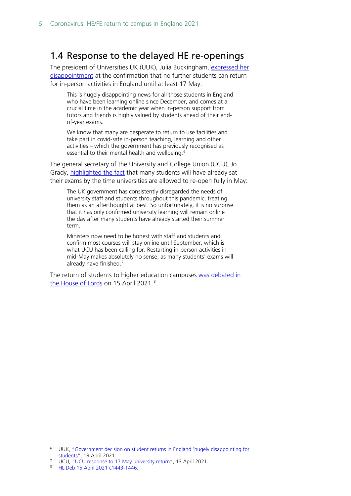## <span id="page-5-0"></span>1.4 Response to the delayed HE re-openings

The president of Universities UK (UUK), Julia Buckingham, expressed her [disappointment](https://www.universitiesuk.ac.uk/news/Pages/uuk-response-to-government-update-on-student-returns-in-England.aspx) at the confirmation that no further students can return for in-person activities in England until at least 17 May:

This is hugely disappointing news for all those students in England who have been learning online since December, and comes at a crucial time in the academic year when in-person support from tutors and friends is highly valued by students ahead of their endof-year exams.

We know that many are desperate to return to use facilities and take part in covid-safe in-person teaching, learning and other activities – which the government has previously recognised as essential to their mental health and wellbeing.<sup>[6](#page-5-1)</sup>

The general secretary of the University and College Union (UCU), Jo Grady, [highlighted the fact](https://www.ucu.org.uk/article/11503/UCU-response-to-17-May-university-return) that many students will have already sat their exams by the time universities are allowed to re-open fully in May:

The UK government has consistently disregarded the needs of university staff and students throughout this pandemic, treating them as an afterthought at best. So unfortunately, it is no surprise that it has only confirmed university learning will remain online the day after many students have already started their summer term.

Ministers now need to be honest with staff and students and confirm most courses will stay online until September, which is what UCU has been calling for. Restarting in-person activities in mid-May makes absolutely no sense, as many students' exams will already have finished.<sup>[7](#page-5-2)</sup>

The return of students to higher education campuses [was debated in](https://hansard.parliament.uk/lords/2021-04-15/debates/D98D8B57-E276-421B-9472-D741E2461663/HigherEducationNewAndReturningStudents)  [the House of Lords](https://hansard.parliament.uk/lords/2021-04-15/debates/D98D8B57-E276-421B-9472-D741E2461663/HigherEducationNewAndReturningStudents) on 15 April 2021.[8](#page-5-3)

<span id="page-5-1"></span><sup>6</sup> UUK, ["Government decision on student returns in England 'hugely disappointing for](https://www.universitiesuk.ac.uk/news/Pages/uuk-response-to-government-update-on-student-returns-in-England.aspx)  [students"](https://www.universitiesuk.ac.uk/news/Pages/uuk-response-to-government-update-on-student-returns-in-England.aspx), 13 April 2021.

UCU, "UCU response to 17 [May university return"](https://www.ucu.org.uk/article/11503/UCU-response-to-17-May-university-return), 13 April 2021.

<span id="page-5-3"></span><span id="page-5-2"></span><sup>8</sup> [HL Deb 15 April 2021 c1443-1446.](https://hansard.parliament.uk/lords/2021-04-15/debates/D98D8B57-E276-421B-9472-D741E2461663/HigherEducationNewAndReturningStudents)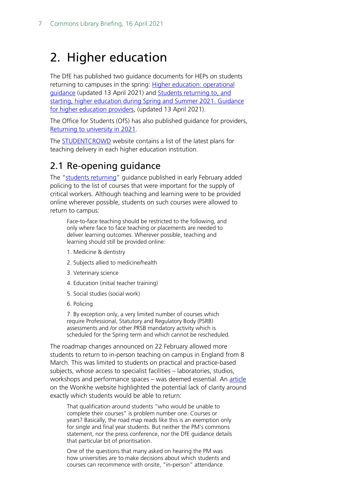# <span id="page-6-0"></span>2. Higher education

The DfE has published two guidance documents for HEPs on students returning to campuses in the spring: [Higher education: operational](https://www.gov.uk/government/publications/higher-education-reopening-buildings-and-campuses/higher-education-reopening-buildings-and-campuses)  [guidance](https://www.gov.uk/government/publications/higher-education-reopening-buildings-and-campuses/higher-education-reopening-buildings-and-campuses) (updated 13 April 2021) and [Students returning to, and](https://assets.publishing.service.gov.uk/government/uploads/system/uploads/attachment_data/file/977819/Students_returning_to__and_starting__higher_education_in_the_spring_term_130421.pdf)  [starting, higher education during Spring and Summer 2021. Guidance](https://assets.publishing.service.gov.uk/government/uploads/system/uploads/attachment_data/file/977819/Students_returning_to__and_starting__higher_education_in_the_spring_term_130421.pdf)  [for higher education providers,](https://assets.publishing.service.gov.uk/government/uploads/system/uploads/attachment_data/file/977819/Students_returning_to__and_starting__higher_education_in_the_spring_term_130421.pdf) (updated 13 April 2021).

The Office for Students (OfS) has also published guidance for providers, [Returning to university in 2021.](https://www.officeforstudents.org.uk/for-students/student-guide-to-coronavirus/returning-to-university-in-2021/)

The [STUDENTCROWD](https://www.studentcrowd.com/article/university-responses-to-covid-19) website contains a list of the latest plans for teaching delivery in each higher education institution.

# <span id="page-6-1"></span>2.1 Re-opening guidance

The ["students returning"](https://www.gov.uk/government/publications/higher-education-reopening-buildings-and-campuses/higher-education-reopening-buildings-and-campuses) guidance published in early February added policing to the list of courses that were important for the supply of critical workers. Although teaching and learning were to be provided online wherever possible, students on such courses were allowed to return to campus:

Face-to-face teaching should be restricted to the following, and only where face to face teaching or placements are needed to deliver learning outcomes. Wherever possible, teaching and learning should still be provided online:

- 1. Medicine & dentistry
- 2. Subjects allied to medicine/health
- 3. Veterinary science
- 4. Education (initial teacher training)
- 5. Social studies (social work)
- 6. Policing

7. By exception only, a very limited number of courses which require Professional, Statutory and Regulatory Body (PSRB) assessments and /or other PRSB mandatory activity which is scheduled for the Spring term and which cannot be rescheduled.

The roadmap changes announced on 22 February allowed more students to return to in-person teaching on campus in England from 8 March. This was limited to students on practical and practice-based subjects, whose access to specialist facilities – laboratories, studios, workshops and performance spaces – was deemed essential. An [article](https://wonkhe.com/blogs/students-on-practical-courses-in-england-can-return-to-campus-in-early-march/?utm_medium=email&utm_campaign=Wonkhe%20Daily%20-%20Tuesday%2023%20February&utm_content=Wonkhe%20Daily%20-%20Tuesday%2023%20February+CID_e3a37ff8cae4f2e3d480186cfc532dec&utm_source=Email%20marketing%20software&utm_term=Jim%20Dickinson%20gets%20across%20the%20implications%20for%20higher%20education%20providers%20and%20students) on the Wonkhe website highlighted the potential lack of clarity around exactly which students would be able to return:

That qualification around students "who would be unable to complete their courses" is problem number one. Courses or years? Basically, the road map reads like this is an exemption only for single and final year students. But neither the PM's commons statement, nor the press conference, nor the DfE guidance details that particular bit of prioritisation.

One of the questions that many asked on hearing the PM was how universities are to make decisions about which students and courses can recommence with onsite, "in-person" attendance.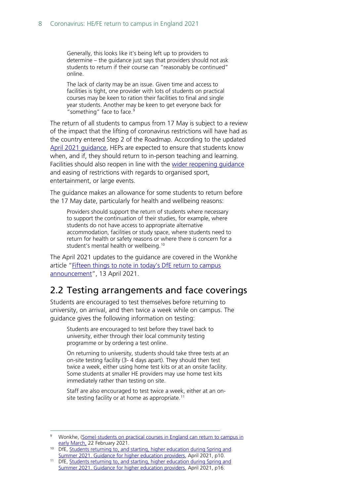Generally, this looks like it's being left up to providers to determine – the guidance just says that providers should not ask students to return if their course can "reasonably be continued" online.

The lack of clarity may be an issue. Given time and access to facilities is tight, one provider with lots of students on practical courses may be keen to ration their facilities to final and single year students. Another may be keen to get everyone back for "something" face to face.<sup>[9](#page-7-1)</sup>

The return of all students to campus from 17 May is subject to a review of the impact that the lifting of coronavirus restrictions will have had as the country entered Step 2 of the Roadmap. According to the updated [April 2021 guidance,](https://assets.publishing.service.gov.uk/government/uploads/system/uploads/attachment_data/file/977819/Students_returning_to__and_starting__higher_education_in_the_spring_term_130421.pdf) HEPs are expected to ensure that students know when, and if, they should return to in-person teaching and learning. Facilities should also reopen in line with the wider reopening quidance and easing of restrictions with regards to organised sport, entertainment, or large events.

The guidance makes an allowance for some students to return before the 17 May date, particularly for health and wellbeing reasons:

Providers should support the return of students where necessary to support the continuation of their studies, for example, where students do not have access to appropriate alternative accommodation, facilities or study space, where students need to return for health or safety reasons or where there is concern for a student's mental health or wellbeing.<sup>[10](#page-7-2)</sup>

The April 2021 updates to the guidance are covered in the Wonkhe article ["Fifteen things to note in today's DfE return to campus](https://wonkhe.com/wonk-corner/fifteen-things-to-note-in-todays-dfe-return-to-campus-announcement/?utm_medium=email&utm_campaign=Wonkhe%20Daily%20-%20Wednesday%2014%20April&utm_content=Wonkhe%20Daily%20-%20Wednesday%2014%20April+CID_8964db4952ef28c05cf3136d32523193&utm_source=Email%20marketing%20software&utm_term=Jim%20Dickinson%20looks%20through%20the%20announcement%20in%20more%20detail)  [announcement"](https://wonkhe.com/wonk-corner/fifteen-things-to-note-in-todays-dfe-return-to-campus-announcement/?utm_medium=email&utm_campaign=Wonkhe%20Daily%20-%20Wednesday%2014%20April&utm_content=Wonkhe%20Daily%20-%20Wednesday%2014%20April+CID_8964db4952ef28c05cf3136d32523193&utm_source=Email%20marketing%20software&utm_term=Jim%20Dickinson%20looks%20through%20the%20announcement%20in%20more%20detail), 13 April 2021.

### <span id="page-7-0"></span>2.2 Testing arrangements and face coverings

Students are encouraged to test themselves before returning to university, on arrival, and then twice a week while on campus. The guidance gives the following information on testing:

Students are encouraged to test before they travel back to university, either through their local community testing programme or by ordering a test online.

On returning to university, students should take three tests at an on-site testing facility (3- 4 days apart). They should then test twice a week, either using home test kits or at an onsite facility. Some students at smaller HE providers may use home test kits immediately rather than testing on site.

Staff are also encouraged to test twice a week, either at an on-site testing facility or at home as appropriate.<sup>[11](#page-7-3)</sup>

<span id="page-7-1"></span><sup>9</sup> Wonkhe, (Some) students [on practical courses in England can return to campus in](https://wonkhe.com/blogs/students-on-practical-courses-in-england-can-return-to-campus-in-early-march/?utm_medium=email&utm_campaign=Wonkhe%20Daily%20-%20Tuesday%2023%20February&utm_content=Wonkhe%20Daily%20-%20Tuesday%2023%20February+CID_e3a37ff8cae4f2e3d480186cfc532dec&utm_source=Email%20marketing%20software&utm_term=Jim%20Dickinson%20gets%20across%20the%20implications%20for%20higher%20education%20providers%20and%20students)  [early March,](https://wonkhe.com/blogs/students-on-practical-courses-in-england-can-return-to-campus-in-early-march/?utm_medium=email&utm_campaign=Wonkhe%20Daily%20-%20Tuesday%2023%20February&utm_content=Wonkhe%20Daily%20-%20Tuesday%2023%20February+CID_e3a37ff8cae4f2e3d480186cfc532dec&utm_source=Email%20marketing%20software&utm_term=Jim%20Dickinson%20gets%20across%20the%20implications%20for%20higher%20education%20providers%20and%20students) 22 February 2021.

<span id="page-7-2"></span><sup>&</sup>lt;sup>10</sup> DfE, Students returning to, and starting, higher education during Spring and [Summer 2021. Guidance for higher education providers,](https://assets.publishing.service.gov.uk/government/uploads/system/uploads/attachment_data/file/977819/Students_returning_to__and_starting__higher_education_in_the_spring_term_130421.pdf) April 2021, p10.

<span id="page-7-3"></span><sup>&</sup>lt;sup>11</sup> DfE, Students returning to, and starting, higher education during Spring and [Summer 2021. Guidance for higher education providers,](https://assets.publishing.service.gov.uk/government/uploads/system/uploads/attachment_data/file/977819/Students_returning_to__and_starting__higher_education_in_the_spring_term_130421.pdf) April 2021, p16.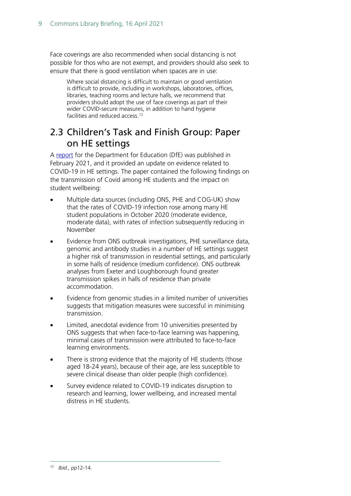Face coverings are also recommended when social distancing is not possible for thos who are not exempt, and providers should also seek to ensure that there is good ventilation when spaces are in use:

Where social distancing is difficult to maintain or good ventilation is difficult to provide, including in workshops, laboratories, offices, libraries, teaching rooms and lecture halls, we recommend that providers should adopt the use of face coverings as part of their wider COVID-secure measures, in addition to hand hygiene facilities and reduced access.<sup>[12](#page-8-1)</sup>

## <span id="page-8-0"></span>2.3 Children's Task and Finish Group: Paper on HE settings

A [report](https://assets.publishing.service.gov.uk/government/uploads/system/uploads/attachment_data/file/963387/S1103_Children_s_Task_and_finish_Group_Paper_on_Higher_Education_Settings_.pdf) for the Department for Education (DfE) was published in February 2021, and it provided an update on evidence related to COVID-19 in HE settings. The paper contained the following findings on the transmission of Covid among HE students and the impact on student wellbeing:

- Multiple data sources (including ONS, PHE and COG-UK) show that the rates of COVID-19 infection rose among many HE student populations in October 2020 (moderate evidence, moderate data), with rates of infection subsequently reducing in November
- Evidence from ONS outbreak investigations, PHE surveillance data, genomic and antibody studies in a number of HE settings suggest a higher risk of transmission in residential settings, and particularly in some halls of residence (medium confidence). ONS outbreak analyses from Exeter and Loughborough found greater transmission spikes in halls of residence than private accommodation.
- Evidence from genomic studies in a limited number of universities suggests that mitigation measures were successful in minimising transmission.
- Limited, anecdotal evidence from 10 universities presented by ONS suggests that when face-to-face learning was happening, minimal cases of transmission were attributed to face-to-face learning environments.
- There is strong evidence that the majority of HE students (those aged 18-24 years), because of their age, are less susceptible to severe clinical disease than older people (high confidence).
- <span id="page-8-1"></span>• Survey evidence related to COVID-19 indicates disruption to research and learning, lower wellbeing, and increased mental distress in HE students.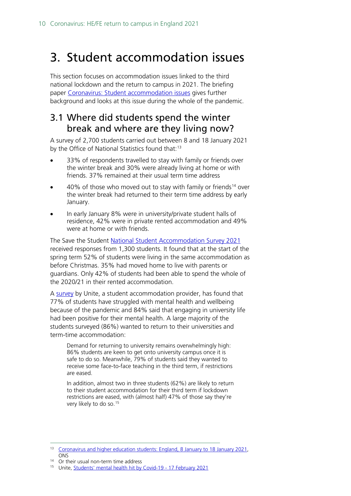# <span id="page-9-0"></span>3. Student accommodation issues

This section focuses on accommodation issues linked to the third national lockdown and the return to campus in 2021. The briefing paper [Coronavirus: Student accommodation issues](http://researchbriefingsapp.parliament.uk/resourcefile/get/c6378fde-64d2-450c-97c1-b8afc409d4b2/cbp09122.pdf) gives further background and looks at this issue during the whole of the pandemic.

## <span id="page-9-1"></span>3.1 Where did students spend the winter break and where are they living now?

A survey of 2,700 students carried out between 8 and 18 January 2021 by the Office of National Statistics found that:<sup>[13](#page-9-2)</sup>

- 33% of respondents travelled to stay with family or friends over the winter break and 30% were already living at home or with friends. 37% remained at their usual term time address
- 40% of those who moved out to stay with family or friends<sup>[14](#page-9-3)</sup> over the winter break had returned to their term time address by early January.
- In early January 8% were in university/private student halls of residence, 42% were in private rented accommodation and 49% were at home or with friends.

The Save the Student [National Student Accommodation Survey 2021](https://www.savethestudent.org/accommodation/national-student-accommodation-survey-2021.html) received responses from 1,300 students. It found that at the start of the spring term 52% of students were living in the same accommodation as before Christmas. 35% had moved home to live with parents or guardians. Only 42% of students had been able to spend the whole of the 2020/21 in their rented accommodation.

A survey by Unite, a student accommodation provider, has found that 77% of students have struggled with mental health and wellbeing because of the pandemic and 84% said that engaging in university life had been positive for their mental health. A large majority of the students surveyed (86%) wanted to return to their universities and term-time accommodation:

Demand for returning to university remains overwhelmingly high: 86% students are keen to get onto university campus once it is safe to do so. Meanwhile, 79% of students said they wanted to receive some face-to-face teaching in the third term, if restrictions are eased.

In addition, almost two in three students (62%) are likely to return to their student accommodation for their third term if lockdown restrictions are eased, with (almost half) 47% of those say they're very likely to do so.[15](#page-9-4)

<span id="page-9-2"></span><sup>&</sup>lt;sup>13</sup> Coronavirus and higher education students: England, 8 January to 18 January 2021, **ONS** 

<span id="page-9-3"></span><sup>&</sup>lt;sup>14</sup> Or their usual non-term time address

<span id="page-9-4"></span><sup>15</sup> Unite, [Students' mental health hit by Covid-19 -](https://www.unite-group.co.uk/media/students-mental-health-hit-covid-19-17-february-2021) 17 February 2021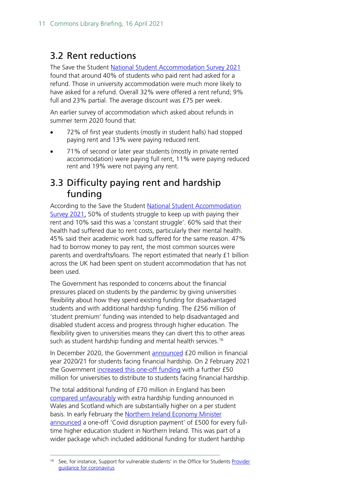## <span id="page-10-0"></span>3.2 Rent reductions

The Save the Student [National Student Accommodation Survey 2021](https://www.savethestudent.org/accommodation/national-student-accommodation-survey-2021.html) found that around 40% of students who paid rent had asked for a refund. Those in university accommodation were much more likely to have asked for a refund. Overall 32% were offered a rent refund; 9% full and 23% partial. The average discount was £75 per week.

An earlier survey of accommodation which asked about refunds in summer term 2020 found that:

- 72% of first year students (mostly in student halls) had stopped paying rent and 13% were paying reduced rent.
- 71% of second or later year students (mostly in private rented accommodation) were paying full rent, 11% were paying reduced rent and 19% were not paying any rent.

## <span id="page-10-1"></span>3.3 Difficulty paying rent and hardship funding

According to the Save the Student [National Student Accommodation](https://www.savethestudent.org/accommodation/national-student-accommodation-survey-2021.html)  [Survey 2021,](https://www.savethestudent.org/accommodation/national-student-accommodation-survey-2021.html) 50% of students struggle to keep up with paying their rent and 10% said this was a 'constant struggle'. 60% said that their health had suffered due to rent costs, particularly their mental health. 45% said their academic work had suffered for the same reason. 47% had to borrow money to pay rent, the most common sources were parents and overdrafts/loans. The report estimated that nearly £1 billion across the UK had been spent on student accommodation that has not been used.

The Government has responded to concerns about the financial pressures placed on students by the pandemic by giving universities flexibility about how they spend existing funding for disadvantaged students and with additional hardship funding. The £256 million of 'student premium' funding was intended to help disadvantaged and disabled student access and progress through higher education. The flexibility given to universities means they can divert this to other areas such as student hardship funding and mental health services.<sup>[16](#page-10-2)</sup>

In December 2020, the Government **announced** £20 million in financial year 2020/21 for students facing financial hardship. On 2 February 2021 the Government [increased this one-off funding](https://www.gov.uk/government/news/government-announces-50-million-to-support-students-impacted-by-covid-19) with a further £50 million for universities to distribute to students facing financial hardship.

The total additional funding of £70 million in England has been [compared unfavourably](https://wonkhe.com/wonk-corner/50m-for-student-hardship-in-england/) with extra hardship funding announced in Wales and Scotland which are substantially higher on a per student basis. In early February the Northern Ireland Economy Minister [announced](https://www.economy-ni.gov.uk/news/dodds-announces-students-receive-ps500-covid-disruption-payment) a one-off 'Covid disruption payment' of £500 for every fulltime higher education student in Northern Ireland. This was part of a wider package which included additional funding for student hardship

<span id="page-10-2"></span>See, for instance, Support for vulnerable students' in the Office for Students Provider [guidance for coronavirus](https://www.officeforstudents.org.uk/advice-and-guidance/coronavirus/provider-guide-to-coronavirus/provider-faq/)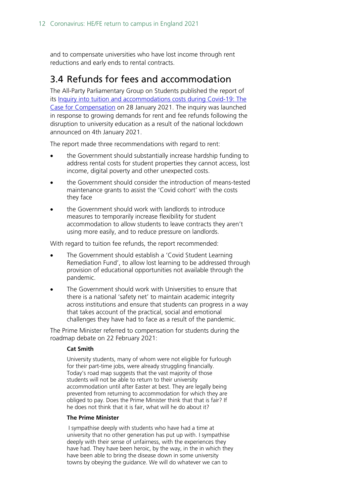and to compensate universities who have lost income through rent reductions and early ends to rental contracts.

### <span id="page-11-0"></span>3.4 Refunds for fees and accommodation

The All-Party Parliamentary Group on Students published the report of its [Inquiry into tuition and accommodations costs during Covid-19: The](https://appg-students.org.uk/wp-content/uploads/2021/01/210128-APPG-Students-Inquiry-Report-final.pdf)  [Case for Compensation](https://appg-students.org.uk/wp-content/uploads/2021/01/210128-APPG-Students-Inquiry-Report-final.pdf) on 28 January 2021. The inquiry was launched in response to growing demands for rent and fee refunds following the disruption to university education as a result of the national lockdown announced on 4th January 2021.

The report made three recommendations with regard to rent:

- the Government should substantially increase hardship funding to address rental costs for student properties they cannot access, lost income, digital poverty and other unexpected costs.
- the Government should consider the introduction of means-tested maintenance grants to assist the 'Covid cohort' with the costs they face
- the Government should work with landlords to introduce measures to temporarily increase flexibility for student accommodation to allow students to leave contracts they aren't using more easily, and to reduce pressure on landlords.

With regard to tuition fee refunds, the report recommended:

- The Government should establish a 'Covid Student Learning Remediation Fund', to allow lost learning to be addressed through provision of educational opportunities not available through the pandemic.
- The Government should work with Universities to ensure that there is a national 'safety net' to maintain academic integrity across institutions and ensure that students can progress in a way that takes account of the practical, social and emotional challenges they have had to face as a result of the pandemic.

The Prime Minister referred to compensation for students during the roadmap debate on 22 February 2021:

### **Cat Smith**

University students, many of whom were not eligible for furlough for their part-time jobs, were already struggling financially. Today's road map suggests that the vast majority of those students will not be able to return to their university accommodation until after Easter at best. They are legally being prevented from returning to accommodation for which they are obliged to pay. Does the Prime Minister think that that is fair? If he does not think that it is fair, what will he do about it?

#### **The Prime Minister**

I sympathise deeply with students who have had a time at university that no other generation has put up with. I sympathise deeply with their sense of unfairness, with the experiences they have had. They have been heroic, by the way, in the in which they have been able to bring the disease down in some university towns by obeying the guidance. We will do whatever we can to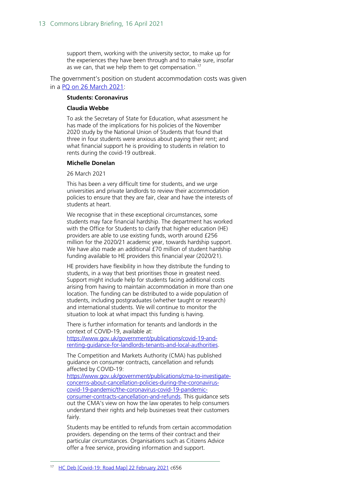support them, working with the university sector, to make up for the experiences they have been through and to make sure, insofar as we can, that we help them to get compensation.<sup>[17](#page-12-0)</sup>

The government's position on student accommodation costs was given in a [PQ on 26 March 2021:](https://questions-statements.parliament.uk/written-questions/detail/2021-03-22/173220)

#### **Students: Coronavirus**

#### **Claudia Webbe**

To ask the Secretary of State for Education, what assessment he has made of the implications for his policies of the November 2020 study by the National Union of Students that found that three in four students were anxious about paying their rent; and what financial support he is providing to students in relation to rents during the covid-19 outbreak.

#### **Michelle Donelan**

26 March 2021

This has been a very difficult time for students, and we urge universities and private landlords to review their accommodation policies to ensure that they are fair, clear and have the interests of students at heart.

We recognise that in these exceptional circumstances, some students may face financial hardship. The department has worked with the Office for Students to clarify that higher education (HE) providers are able to use existing funds, worth around £256 million for the 2020/21 academic year, towards hardship support. We have also made an additional £70 million of student hardship funding available to HE providers this financial year (2020/21).

HE providers have flexibility in how they distribute the funding to students, in a way that best prioritises those in greatest need. Support might include help for students facing additional costs arising from having to maintain accommodation in more than one location. The funding can be distributed to a wide population of students, including postgraduates (whether taught or research) and international students. We will continue to monitor the situation to look at what impact this funding is having.

There is further information for tenants and landlords in the context of COVID-19, available at:

[https://www.gov.uk/government/publications/covid-19-and](https://www.gov.uk/government/publications/covid-19-and-renting-guidance-for-landlords-tenants-and-local-authorities)[renting-guidance-for-landlords-tenants-and-local-authorities.](https://www.gov.uk/government/publications/covid-19-and-renting-guidance-for-landlords-tenants-and-local-authorities)

The Competition and Markets Authority (CMA) has published guidance on consumer contracts, cancellation and refunds affected by COVID-19:

[https://www.gov.uk/government/publications/cma-to-investigate](https://www.gov.uk/government/publications/cma-to-investigate-concerns-about-cancellation-policies-during-the-coronavirus-covid-19-pandemic/the-coronavirus-covid-19-pandemic-consumer-contracts-cancellation-and-refunds)[concerns-about-cancellation-policies-during-the-coronavirus](https://www.gov.uk/government/publications/cma-to-investigate-concerns-about-cancellation-policies-during-the-coronavirus-covid-19-pandemic/the-coronavirus-covid-19-pandemic-consumer-contracts-cancellation-and-refunds)[covid-19-pandemic/the-coronavirus-covid-19-pandemic](https://www.gov.uk/government/publications/cma-to-investigate-concerns-about-cancellation-policies-during-the-coronavirus-covid-19-pandemic/the-coronavirus-covid-19-pandemic-consumer-contracts-cancellation-and-refunds)[consumer-contracts-cancellation-and-refunds.](https://www.gov.uk/government/publications/cma-to-investigate-concerns-about-cancellation-policies-during-the-coronavirus-covid-19-pandemic/the-coronavirus-covid-19-pandemic-consumer-contracts-cancellation-and-refunds) This guidance sets out the CMA's view on how the law operates to help consumers understand their rights and help businesses treat their customers fairly.

<span id="page-12-0"></span>Students may be entitled to refunds from certain accommodation providers. depending on the terms of their contract and their particular circumstances. Organisations such as Citizens Advice offer a free service, providing information and support.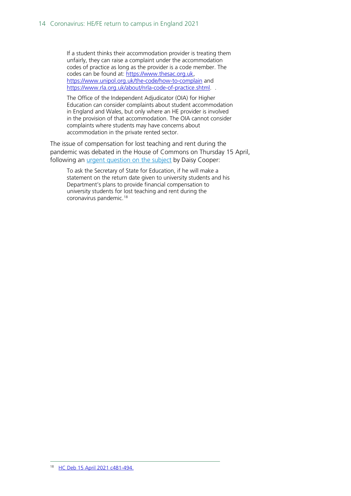If a student thinks their accommodation provider is treating them unfairly, they can raise a complaint under the accommodation codes of practice as long as the provider is a code member. The codes can be found at: [https://www.thesac.org.uk,](https://www.thesac.org.uk/) <https://www.unipol.org.uk/the-code/how-to-complain> and [https://www.rla.org.uk/about/nrla-code-of-practice.shtml.](https://www.rla.org.uk/about/nrla-code-of-practice.shtml) .

The Office of the Independent Adjudicator (OIA) for Higher Education can consider complaints about student accommodation in England and Wales, but only where an HE provider is involved in the provision of that accommodation. The OIA cannot consider complaints where students may have concerns about accommodation in the private rented sector.

The issue of compensation for lost teaching and rent during the pandemic was debated in the House of Commons on Thursday 15 April, following an *urgent question on the subject* by Daisy Cooper:

<span id="page-13-0"></span>To ask the Secretary of State for Education, if he will make a statement on the return date given to university students and his Department's plans to provide financial compensation to university students for lost teaching and rent during the coronavirus pandemic.<sup>[18](#page-13-0)</sup>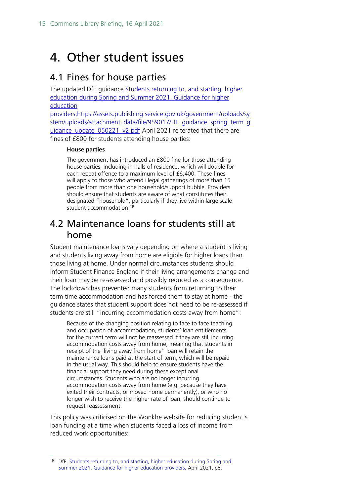# <span id="page-14-0"></span>4. Other student issues

## <span id="page-14-1"></span>4.1 Fines for house parties

The updated DfE guidance [Students returning to, and starting, higher](https://assets.publishing.service.gov.uk/government/uploads/system/uploads/attachment_data/file/977819/Students_returning_to__and_starting__higher_education_in_the_spring_term_130421.pdf)  [education during Spring and Summer 2021. Guidance for higher](https://assets.publishing.service.gov.uk/government/uploads/system/uploads/attachment_data/file/977819/Students_returning_to__and_starting__higher_education_in_the_spring_term_130421.pdf)  [education](https://assets.publishing.service.gov.uk/government/uploads/system/uploads/attachment_data/file/977819/Students_returning_to__and_starting__higher_education_in_the_spring_term_130421.pdf) 

[providers,](https://assets.publishing.service.gov.uk/government/uploads/system/uploads/attachment_data/file/977819/Students_returning_to__and_starting__higher_education_in_the_spring_term_130421.pdf)[https://assets.publishing.service.gov.uk/government/uploads/sy](https://assets.publishing.service.gov.uk/government/uploads/system/uploads/attachment_data/file/959017/HE_guidance_spring_term_guidance_update_050221_v2.pdf) stem/uploads/attachment\_data/file/959017/HE\_quidance\_spring\_term\_g uidance update 050221 v2.pdf April 2021 reiterated that there are fines of £800 for students attending house parties:

### **House parties**

The government has introduced an £800 fine for those attending house parties, including in halls of residence, which will double for each repeat offence to a maximum level of £6,400. These fines will apply to those who attend illegal gatherings of more than 15 people from more than one household/support bubble. Providers should ensure that students are aware of what constitutes their designated "household", particularly if they live within large scale student accommodation.<sup>[19](#page-14-3)</sup>

### <span id="page-14-2"></span>4.2 Maintenance loans for students still at home

Student maintenance loans vary depending on where a student is living and students living away from home are eligible for higher loans than those living at home. Under normal circumstances students should inform Student Finance England if their living arrangements change and their loan may be re-assessed and possibly reduced as a consequence. The lockdown has prevented many students from returning to their term time accommodation and has forced them to stay at home - the guidance states that student support does not need to be re-assessed if students are still "incurring accommodation costs away from home":

Because of the changing position relating to face to face teaching and occupation of accommodation, students' loan entitlements for the current term will not be reassessed if they are still incurring accommodation costs away from home, meaning that students in receipt of the 'living away from home'' loan will retain the maintenance loans paid at the start of term, which will be repaid in the usual way. This should help to ensure students have the financial support they need during these exceptional circumstances. Students who are no longer incurring accommodation costs away from home (e.g. because they have exited their contracts, or moved home permanently), or who no longer wish to receive the higher rate of loan, should continue to request reassessment.

This policy was criticised on the Wonkhe website for reducing student's loan funding at a time when students faced a loss of income from reduced work opportunities:

<span id="page-14-3"></span><sup>&</sup>lt;sup>19</sup> DfE, Students returning to, and starting, higher education during Spring and [Summer 2021. Guidance for higher education providers,](https://assets.publishing.service.gov.uk/government/uploads/system/uploads/attachment_data/file/977819/Students_returning_to__and_starting__higher_education_in_the_spring_term_130421.pdf) April 2021, p8.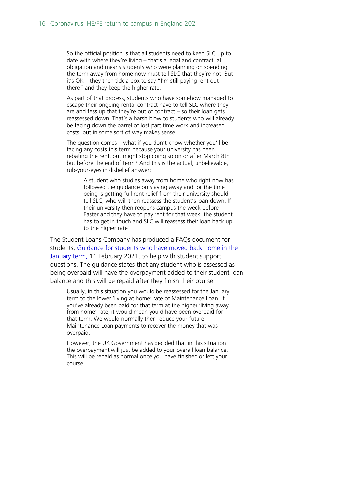So the official position is that all students need to keep SLC up to date with where they're living – that's a legal and contractual obligation and means students who were planning on spending the term away from home now must tell SLC that they're not. But it's OK – they then tick a box to say "I'm still paying rent out there" and they keep the higher rate.

As part of that process, students who have somehow managed to escape their ongoing rental contract have to tell SLC where they are and fess up that they're out of contract – so their loan gets reassessed down. That's a harsh blow to students who will already be facing down the barrel of lost part time work and increased costs, but in some sort of way makes sense.

The question comes – what if you don't know whether you'll be facing any costs this term because your university has been rebating the rent, but might stop doing so on or after March 8th but before the end of term? And this is the actual, unbelievable, rub-your-eyes in disbelief answer:

A student who studies away from home who right now has followed the guidance on staying away and for the time being is getting full rent relief from their university should tell SLC, who will then reassess the student's loan down. If their university then reopens campus the week before Easter and they have to pay rent for that week, the student has to get in touch and SLC will reassess their loan back up to the higher rate"

The Student Loans Company has produced a FAQs document for students, [Guidance for students who have moved back home in the](https://www.gov.uk/guidance/guidance-for-students-who-have-moved-back-home-in-the-january-term)  [January term,](https://www.gov.uk/guidance/guidance-for-students-who-have-moved-back-home-in-the-january-term) 11 February 2021, to help with student support questions. The guidance states that any student who is assessed as being overpaid will have the overpayment added to their student loan balance and this will be repaid after they finish their course:

Usually, in this situation you would be reassessed for the January term to the lower 'living at home' rate of Maintenance Loan. If you've already been paid for that term at the higher 'living away from home' rate, it would mean you'd have been overpaid for that term. We would normally then reduce your future Maintenance Loan payments to recover the money that was overpaid.

However, the UK Government has decided that in this situation the overpayment will just be added to your overall loan balance. This will be repaid as normal once you have finished or left your course.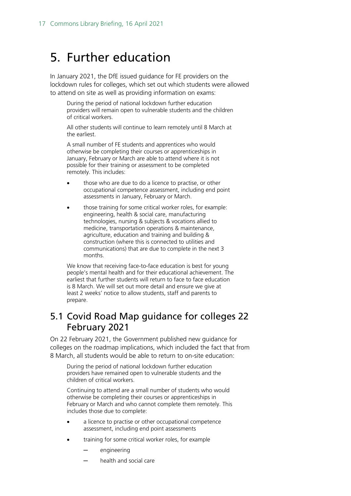# <span id="page-16-0"></span>5. Further education

In January 2021, the DfE issued guidance for FE providers on the lockdown rules for colleges, which set out which students were allowed to attend on site as well as providing information on exams:

During the period of national lockdown further education providers will remain open to vulnerable students and the children of critical workers.

All other students will continue to learn remotely until 8 March at the earliest.

A small number of FE students and apprentices who would otherwise be completing their courses or apprenticeships in January, February or March are able to attend where it is not possible for their training or assessment to be completed remotely. This includes:

- those who are due to do a licence to practise, or other occupational competence assessment, including end point assessments in January, February or March.
- those training for some critical worker roles, for example: engineering, health & social care, manufacturing technologies, nursing & subjects & vocations allied to medicine, transportation operations & maintenance, agriculture, education and training and building & construction (where this is connected to utilities and communications) that are due to complete in the next 3 months.

We know that receiving face-to-face education is best for young people's mental health and for their educational achievement. The earliest that further students will return to face to face education is 8 March. We will set out more detail and ensure we give at least 2 weeks' notice to allow students, staff and parents to prepare.

## <span id="page-16-1"></span>5.1 Covid Road Map guidance for colleges 22 February 2021

On 22 February 2021, the Government published new guidance for colleges on the roadmap implications, which included the fact that from 8 March, all students would be able to return to on-site education:

During the period of national lockdown further education providers have remained open to vulnerable students and the children of critical workers.

Continuing to attend are a small number of students who would otherwise be completing their courses or apprenticeships in February or March and who cannot complete them remotely. This includes those due to complete:

- a licence to practise or other occupational competence assessment, including end point assessments
- training for some critical worker roles, for example
	- engineering
	- health and social care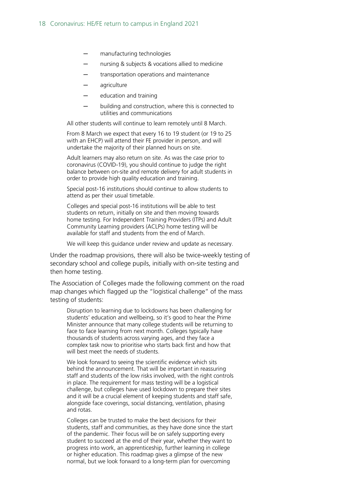- manufacturing technologies
- nursing & subjects & vocations allied to medicine
- transportation operations and maintenance
- agriculture
- education and training
- building and construction, where this is connected to utilities and communications

All other students will continue to learn remotely until 8 March.

From 8 March we expect that every 16 to 19 student (or 19 to 25 with an EHCP) will attend their FE provider in person, and will undertake the majority of their planned hours on site.

Adult learners may also return on site. As was the case prior to coronavirus (COVID-19), you should continue to judge the right balance between on-site and remote delivery for adult students in order to provide high quality education and training.

Special post-16 institutions should continue to allow students to attend as per their usual timetable.

Colleges and special post-16 institutions will be able to test students on return, initially on site and then moving towards home testing. For Independent Training Providers (ITPs) and Adult Community Learning providers (ACLPs) home testing will be available for staff and students from the end of March.

We will keep this guidance under review and update as necessary.

Under the roadmap provisions, there will also be twice-weekly testing of secondary school and college pupils, initially with on-site testing and then home testing.

The Association of Colleges made the following comment on the road map changes which flagged up the "logistical challenge" of the mass testing of students:

Disruption to learning due to lockdowns has been challenging for students' education and wellbeing, so it's good to hear the Prime Minister announce that many college students will be returning to face to face learning from next month. Colleges typically have thousands of students across varying ages, and they face a complex task now to prioritise who starts back first and how that will best meet the needs of students.

We look forward to seeing the scientific evidence which sits behind the announcement. That will be important in reassuring staff and students of the low risks involved, with the right controls in place. The requirement for mass testing will be a logistical challenge, but colleges have used lockdown to prepare their sites and it will be a crucial element of keeping students and staff safe, alongside face coverings, social distancing, ventilation, phasing and rotas.

Colleges can be trusted to make the best decisions for their students, staff and communities, as they have done since the start of the pandemic. Their focus will be on safely supporting every student to succeed at the end of their year, whether they want to progress into work, an apprenticeship, further learning in college or higher education. This roadmap gives a glimpse of the new normal, but we look forward to a long-term plan for overcoming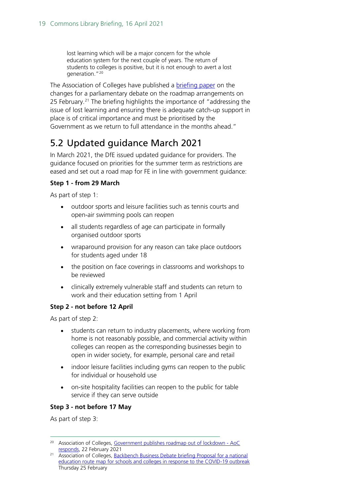lost learning which will be a major concern for the whole education system for the next couple of years. The return of students to colleges is positive, but it is not enough to avert a lost generation."[20](#page-18-1)

The Association of Colleges have published a [briefing paper](https://www.aoc.co.uk/sites/default/files/February%202021%20BBD%20debate%20briefing%20-%20national%20education%20route%20map%20%281%29.pdf) on the changes for a parliamentary debate on the roadmap arrangements on 25 February.<sup>[21](#page-18-2)</sup> The briefing highlights the importance of "addressing the issue of lost learning and ensuring there is adequate catch-up support in place is of critical importance and must be prioritised by the Government as we return to full attendance in the months ahead."

# <span id="page-18-0"></span>5.2 Updated guidance March 2021

In March 2021, the DfE issued updated guidance for providers. The guidance focused on priorities for the summer term as restrictions are eased and set out a road map for FE in line with government guidance:

### **Step 1 - from 29 March**

As part of step 1:

- outdoor sports and leisure facilities such as tennis courts and open-air swimming pools can reopen
- all students regardless of age can participate in formally organised outdoor sports
- wraparound provision for any reason can take place outdoors for students aged under 18
- the position on face coverings in classrooms and workshops to be reviewed
- clinically extremely vulnerable staff and students can return to work and their education setting from 1 April

### **Step 2 - not before 12 April**

As part of step 2:

- students can return to industry placements, where working from home is not reasonably possible, and commercial activity within colleges can reopen as the corresponding businesses begin to open in wider society, for example, personal care and retail
- indoor leisure facilities including gyms can reopen to the public for individual or household use
- on-site hospitality facilities can reopen to the public for table service if they can serve outside

### **Step 3 - not before 17 May**

As part of step 3:

<span id="page-18-1"></span><sup>&</sup>lt;sup>20</sup> Association of Colleges, [Government publishes roadmap out of lockdown -](https://www.aoc.co.uk/news/government-publishes-roadmap-out-lockdown-aoc-responds) AoC [responds,](https://www.aoc.co.uk/news/government-publishes-roadmap-out-lockdown-aoc-responds) 22 February 2021

<span id="page-18-2"></span><sup>&</sup>lt;sup>21</sup> Association of Colleges, Backbench Business Debate briefing Proposal for a national [education route map for schools and colleges in response to the COVID-19 outbreak](https://www.aoc.co.uk/sites/default/files/February%202021%20BBD%20debate%20briefing%20-%20national%20education%20route%20map%20%281%29.pdf) Thursday 25 February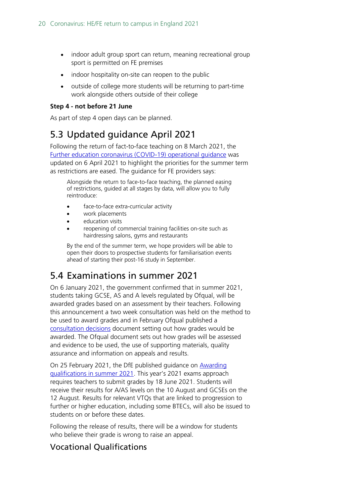- indoor adult group sport can return, meaning recreational group sport is permitted on FE premises
- indoor hospitality on-site can reopen to the public
- outside of college more students will be returning to part-time work alongside others outside of their college

### **Step 4 - not before 21 June**

As part of step 4 open days can be planned.

## <span id="page-19-0"></span>5.3 Updated guidance April 2021

Following the return of fact-to-face teaching on 8 March 2021, the [Further education coronavirus \(COVID-19\) operational guidance](https://www.gov.uk/government/publications/coronavirus-covid-19-maintaining-further-education-provision/further-education-coronavirus-covid-19-operational-guidance) was updated on 6 April 2021 to highlight the priorities for the summer term as restrictions are eased. The guidance for FE providers says:

Alongside the return to face-to-face teaching, the planned easing of restrictions, guided at all stages by data, will allow you to fully reintroduce:

- face-to-face extra-curricular activity
- work placements
- education visits
- reopening of commercial training facilities on-site such as hairdressing salons, gyms and restaurants

By the end of the summer term, we hope providers will be able to open their doors to prospective students for familiarisation events ahead of starting their post-16 study in September.

# <span id="page-19-1"></span>5.4 Examinations in summer 2021

On 6 January 2021, the government confirmed that in summer 2021, students taking GCSE, AS and A levels regulated by Ofqual, will be awarded grades based on an assessment by their teachers. Following this announcement a two week consultation was held on the method to be used to award grades and in February Ofqual published a [consultation decisions](https://assets.publishing.service.gov.uk/government/uploads/system/uploads/attachment_data/file/965005/6747-1_decisions_-_GQ_consultation_on_awarding_grades_in_2021.pdf) document setting out how grades would be awarded. The Ofqual document sets out how grades will be assessed and evidence to be used, the use of supporting materials, quality assurance and information on appeals and results.

On 25 February 2021, the DfE published guidance on [Awarding](https://www.gov.uk/government/publications/awarding-qualifications-in-summer-2021/awarding-qualifications-in-summer-2021)  [qualifications in summer 2021.](https://www.gov.uk/government/publications/awarding-qualifications-in-summer-2021/awarding-qualifications-in-summer-2021) This year's 2021 exams approach requires teachers to submit grades by 18 June 2021. Students will receive their results for A/AS levels on the 10 August and GCSEs on the 12 August. Results for relevant VTQs that are linked to progression to further or higher education, including some BTECs, will also be issued to students on or before these dates.

Following the release of results, there will be a window for students who believe their grade is wrong to raise an appeal.

### Vocational Qualifications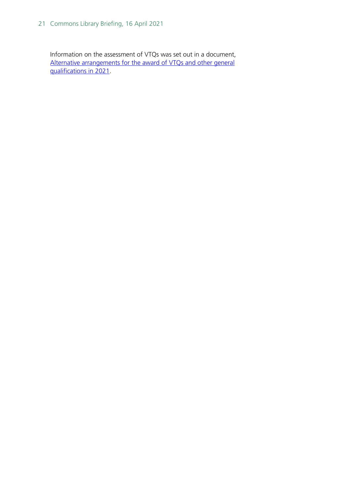Information on the assessment of VTQs was set out in a document, [Alternative arrangements for the award of VTQs and other](https://assets.publishing.service.gov.uk/government/uploads/system/uploads/attachment_data/file/964973/6748-1_-_Decisions_-_VTQ_Consultation_on_awarding_grades_in_2021.pdf) general [qualifications in 2021.](https://assets.publishing.service.gov.uk/government/uploads/system/uploads/attachment_data/file/964973/6748-1_-_Decisions_-_VTQ_Consultation_on_awarding_grades_in_2021.pdf)